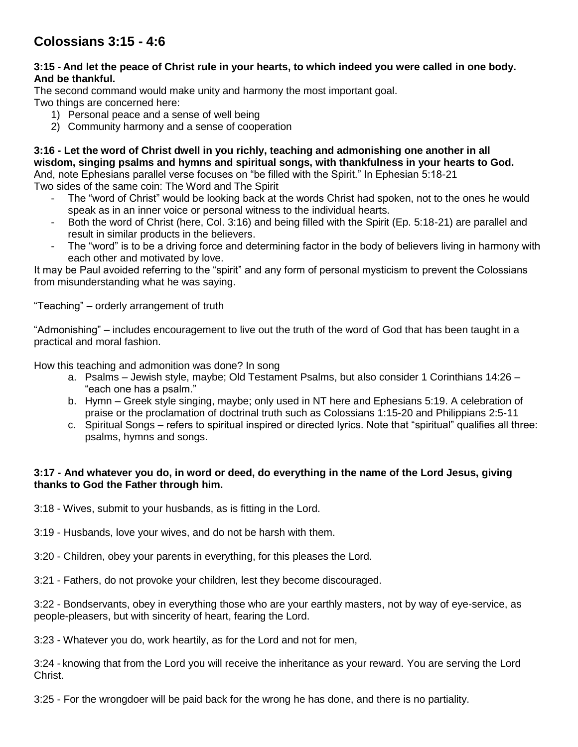## **Colossians 3:15 - 4:6**

## **3:15 - And let the peace of Christ rule in your hearts, to which indeed you were called in one body. And be thankful.**

The second command would make unity and harmony the most important goal.

Two things are concerned here:

- 1) Personal peace and a sense of well being
- 2) Community harmony and a sense of cooperation

**3:16 - Let the word of Christ dwell in you richly, teaching and admonishing one another in all wisdom, singing psalms and hymns and spiritual songs, with thankfulness in your hearts to God.**  And, note Ephesians parallel verse focuses on "be filled with the Spirit." In Ephesian 5:18-21 Two sides of the same coin: The Word and The Spirit

- The "word of Christ" would be looking back at the words Christ had spoken, not to the ones he would speak as in an inner voice or personal witness to the individual hearts.
- Both the word of Christ (here, Col. 3:16) and being filled with the Spirit (Ep. 5:18-21) are parallel and result in similar products in the believers.
- The "word" is to be a driving force and determining factor in the body of believers living in harmony with each other and motivated by love.

It may be Paul avoided referring to the "spirit" and any form of personal mysticism to prevent the Colossians from misunderstanding what he was saying.

"Teaching" – orderly arrangement of truth

"Admonishing" – includes encouragement to live out the truth of the word of God that has been taught in a practical and moral fashion.

How this teaching and admonition was done? In song

- a. Psalms Jewish style, maybe; Old Testament Psalms, but also consider 1 Corinthians 14:26 "each one has a psalm."
- b. Hymn Greek style singing, maybe; only used in NT here and Ephesians 5:19. A celebration of praise or the proclamation of doctrinal truth such as Colossians 1:15-20 and Philippians 2:5-11
- c. Spiritual Songs refers to spiritual inspired or directed lyrics. Note that "spiritual" qualifies all three: psalms, hymns and songs.

## **3:17 - And whatever you do, in word or deed, do everything in the name of the Lord Jesus, giving thanks to God the Father through him.**

3:18 - Wives, submit to your husbands, as is fitting in the Lord.

- 3:19 Husbands, love your wives, and do not be harsh with them.
- 3:20 Children, obey your parents in everything, for this pleases the Lord.

3:21 - Fathers, do not provoke your children, lest they become discouraged.

3:22 - Bondservants, obey in everything those who are your earthly masters, not by way of eye-service, as people-pleasers, but with sincerity of heart, fearing the Lord.

3:23 - Whatever you do, work heartily, as for the Lord and not for men,

3:24 - knowing that from the Lord you will receive the inheritance as your reward. You are serving the Lord Christ.

3:25 - For the wrongdoer will be paid back for the wrong he has done, and there is no partiality.